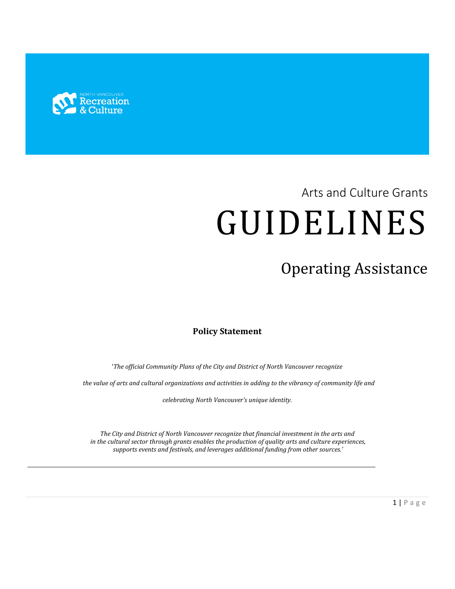

# Arts and Culture Grants GUIDELINES

# Operating Assistance

# **Policy Statement**

'*The official Community Plans of the City and District of North Vancouver recognize*

 *the value of arts and cultural organizations and activities in adding to the vibrancy of community life and* 

*celebrating North Vancouver's unique identity.*

*The City and District of North Vancouver recognize that financial investment in the arts and in the cultural sector through grants enables the production of quality arts and culture experiences, supports events and festivals, and leverages additional funding from other sources.'*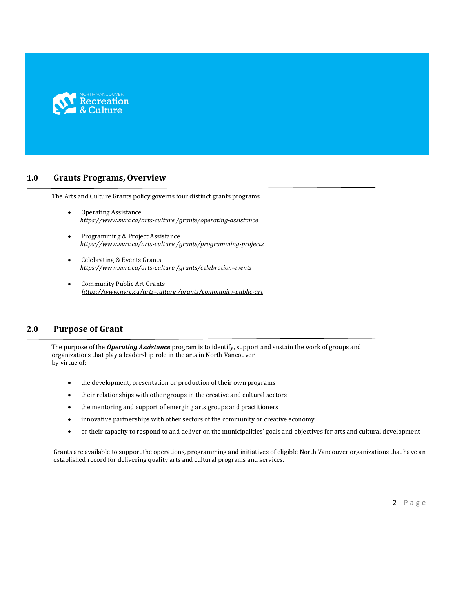

# **1.0 Grants Programs, Overview**

The Arts and Culture Grants policy governs four distinct grants programs.

- Operating Assistance  *https://www.nvrc.ca/arts-culture /grants/operating-assistance*
- Programming & Project Assistance  *https://www.nvrc.ca/arts-culture /grants/programming-projects*
- Celebrating & Events Grants  *https://www.nvrc.ca/arts-culture /grants/celebration-events*
- Community Public Art Grants  *https://www.nvrc.ca/arts-culture /grants/community-public-art*

### **2.0 Purpose of Grant**

 The purpose of the *Operating Assistance* program is to identify, support and sustain the work of groups and organizations that play a leadership role in the arts in North Vancouver by virtue of:

- the development, presentation or production of their own programs
- their relationships with other groups in the creative and cultural sectors
- the mentoring and support of emerging arts groups and practitioners
- innovative partnerships with other sectors of the community or creative economy
- or their capacity to respond to and deliver on the municipalities' goals and objectives for arts and cultural development

Grants are available to support the operations, programming and initiatives of eligible North Vancouver organizations that have an established record for delivering quality arts and cultural programs and services.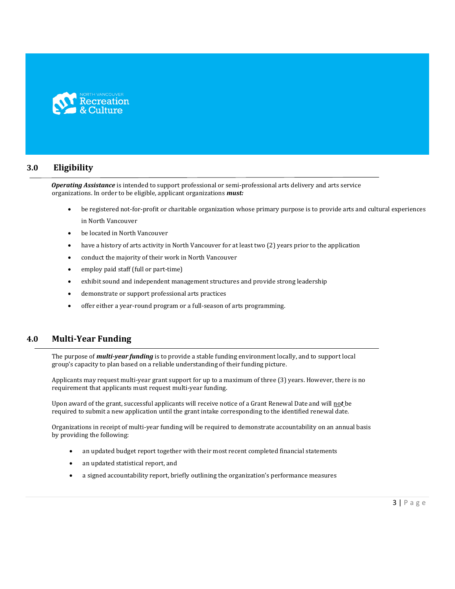

# **3.0 Eligibility**

*Operating Assistance* is intended to support professional or semi-professional arts delivery and arts service organizations. In order to be eligible, applicant organizations *must:*

- be registered not-for-profit or charitable organization whose primary purpose is to provide arts and cultural experiences in North Vancouver
- be located in North Vancouver
- have a history of arts activity in North Vancouver for at least two (2) years prior to the application
- conduct the majority of their work in North Vancouver
- employ paid staff (full or part-time)
- exhibit sound and independent management structures and provide strong leadership
- demonstrate or support professional arts practices
- offer either a year-round program or a full-season of arts programming.

# **4.0 Multi-Year Funding**

 The purpose of *multi-year funding* is to provide a stable funding environment locally, and to support local group's capacity to plan based on a reliable understanding of their funding picture.

 Applicants may request multi-year grant support for up to a maximum of three (3) years. However, there is no requirement that applicants must request multi-year funding.

 Upon award of the grant, successful applicants will receive notice of a Grant Renewal Date and will no*t* be required to submit a new application until the grant intake corresponding to the identified renewal date.

 Organizations in receipt of multi-year funding will be required to demonstrate accountability on an annual basis by providing the following:

- an updated budget report together with their most recent completed financial statements
- an updated statistical report, and
- a signed accountability report, briefly outlining the organization's performance measures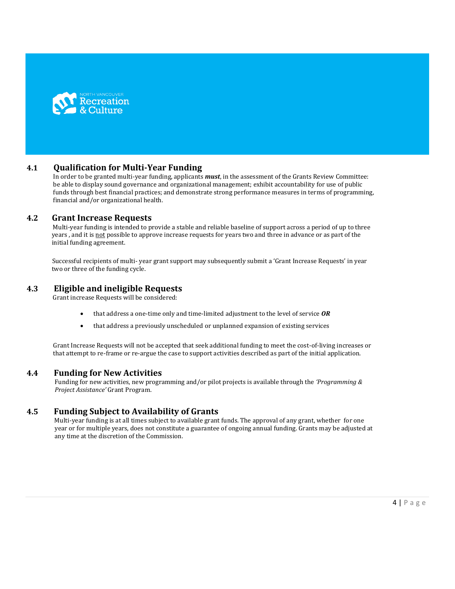

# **4.1 Qualification for Multi-Year Funding**

 In order to be granted multi-year funding, applicants *must*, in the assessment of the Grants Review Committee: be able to display sound governance and organizational management; exhibit accountability for use of public funds through best financial practices; and demonstrate strong performance measures in terms of programming, financial and/or organizational health.

#### **4.2 Grant Increase Requests**

 Multi-year funding is intended to provide a stable and reliable baseline of support across a period of up to three years , and it is not possible to approve increase requests for years two and three in advance or as part of the initial funding agreement.

 Successful recipients of multi- year grant support may subsequently submit a 'Grant Increase Requests' in year two or three of the funding cycle.

# **4.3 Eligible and ineligible Requests**

Grant increase Requests will be considered:

- that address a one-time only and time-limited adjustment to the level of service *OR*
- that address a previously unscheduled or unplanned expansion of existing services

 Grant Increase Requests will not be accepted that seek additional funding to meet the cost-of-living increases or that attempt to re-frame or re-argue the case to support activities described as part of the initial application.

#### **4.4 Funding for New Activities**

 Funding for new activities, new programming and/or pilot projects is available through the *'Programming & Project Assistance'* Grant Program.

#### **4.5 Funding Subject to Availability of Grants**

 Multi-year funding is at all times subject to available grant funds. The approval of any grant, whether for one year or for multiple years, does not constitute a guarantee of ongoing annual funding. Grants may be adjusted at any time at the discretion of the Commission.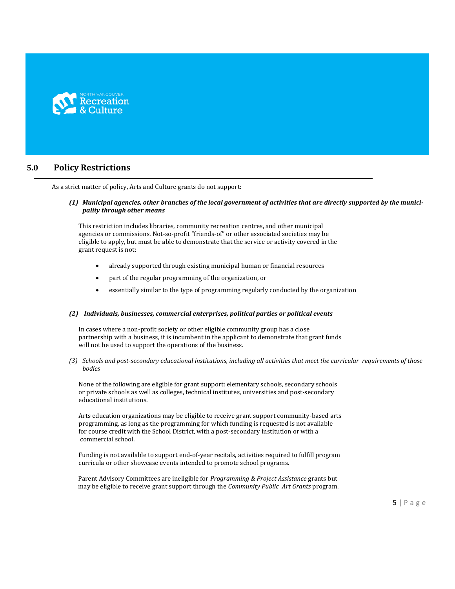

# **5.0 Policy Restrictions**

As a strict matter of policy, Arts and Culture grants do not support:

#### *(1) Municipal agencies, other branches of the local government of activities that are directly supported by the municipality through other means*

 This restriction includes libraries, community recreation centres, and other municipal agencies or commissions. Not-so-profit "friends-of" or other associated societies may be eligible to apply, but must be able to demonstrate that the service or activity covered in the grant request is not:

- already supported through existing municipal human or financial resources
- part of the regular programming of the organization, or
- essentially similar to the type of programming regularly conducted by the organization

#### *(2) Individuals, businesses, commercial enterprises, political parties or political events*

 In cases where a non-profit society or other eligible community group has a close partnership with a business, it is incumbent in the applicant to demonstrate that grant funds will not be used to support the operations of the business.

*(3) Schools and post-secondary educational institutions, including all activities that meet the curricular requirements of those bodies*

 None of the following are eligible for grant support: elementary schools, secondary schools or private schools as well as colleges, technical institutes, universities and post-secondary educational institutions.

 Arts education organizations may be eligible to receive grant support community-based arts programming, as long as the programming for which funding is requested is not available for course credit with the School District, with a post-secondary institution or with a commercial school.

 Funding is not available to support end-of-year recitals, activities required to fulfill program curricula or other showcase events intended to promote school programs.

 Parent Advisory Committees are ineligible for *Programming & Project Assistance* grants but may be eligible to receive grant support through the *Community Public Art Grants* program.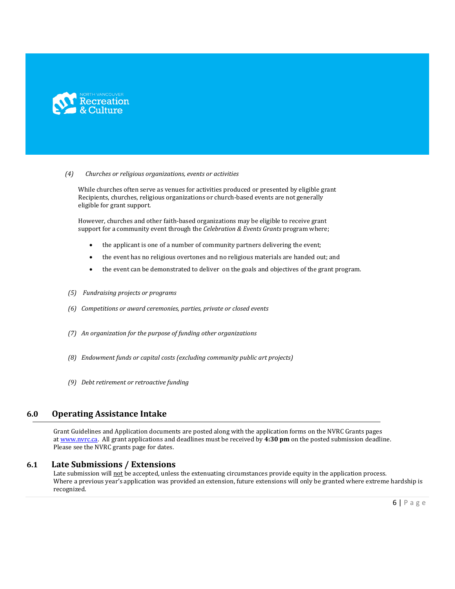

#### *(4) Churches or religious organizations, events or activities*

 While churches often serve as venues for activities produced or presented by eligible grant Recipients, churches, religious organizations or church-based events are not generally eligible for grant support.

 However, churches and other faith-based organizations may be eligible to receive grant support for a community event through the *Celebration & Events Grants* program where;

- the applicant is one of a number of community partners delivering the event;
- the event has no religious overtones and no religious materials are handed out; and
- the event can be demonstrated to deliver on the goals and objectives of the grant program.
- *(5) Fundraising projects or programs*
- *(6) Competitions or award ceremonies, parties, private or closed events*
- *(7) An organization for the purpose of funding other organizations*
- *(8) Endowment funds or capital costs (excluding community public art projects)*
- *(9) Debt retirement or retroactive funding*

# **6.0 Operating Assistance Intake**

Grant Guidelines and Application documents are posted along with the application forms on the NVRC Grants pages a[t www.nvrc.ca.](http://www.nvrc.ca/) All grant applications and deadlines must be received by **4:30 pm** on the posted submission deadline. Please see the NVRC grants page for dates.

#### **6.1 Late Submissions / Extensions**

Late submission will not be accepted, unless the extenuating circumstances provide equity in the application process. Where a previous year's application was provided an extension, future extensions will only be granted where extreme hardship is recognized.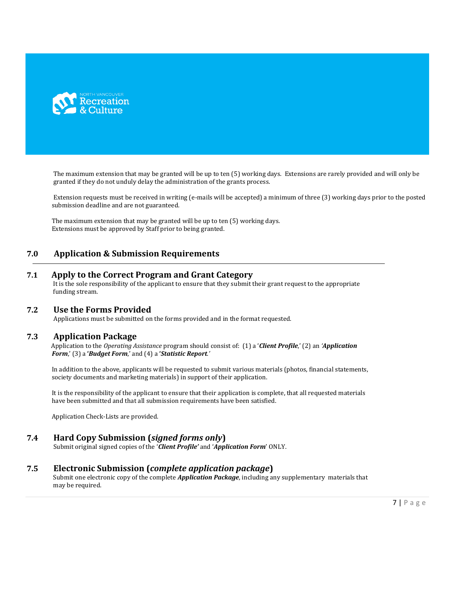

The maximum extension that may be granted will be up to ten (5) working days. Extensions are rarely provided and will only be granted if they do not unduly delay the administration of the grants process.

Extension requests must be received in writing (e-mails will be accepted) a minimum of three (3) working days prior to the posted submission deadline and are not guaranteed.

The maximum extension that may be granted will be up to ten (5) working days. Extensions must be approved by Staff prior to being granted.

# **7.0 Application & Submission Requirements**

#### **7.1 Apply to the Correct Program and Grant Category**

 It is the sole responsibility of the applicant to ensure that they submit their grant request to the appropriate funding stream.

#### **7.2 Use the Forms Provided**

Applications must be submitted on the forms provided and in the format requested.

#### **7.3 Application Package**

 Application to the *Operating Assistance* program should consist of: (1) a '*Client Profile*,' (2) an *'Application Form*,' (3) a **'***Budget Form*,' and (4) a **'***Statistic Report.'* 

 In addition to the above, applicants will be requested to submit various materials (photos, financial statements, society documents and marketing materials) in support of their application.

 It is the responsibility of the applicant to ensure that their application is complete, that all requested materials have been submitted and that all submission requirements have been satisfied.

Application Check-Lists are provided.

#### **7.4 Hard Copy Submission (***signed forms only***)**

Submit original signed copies of the '*Client Profile'* and '*Application Form*' ONLY.

#### **7.5 Electronic Submission (***complete application package***)**

 Submit one electronic copy of the complete *Application Package*, including any supplementary materials that may be required.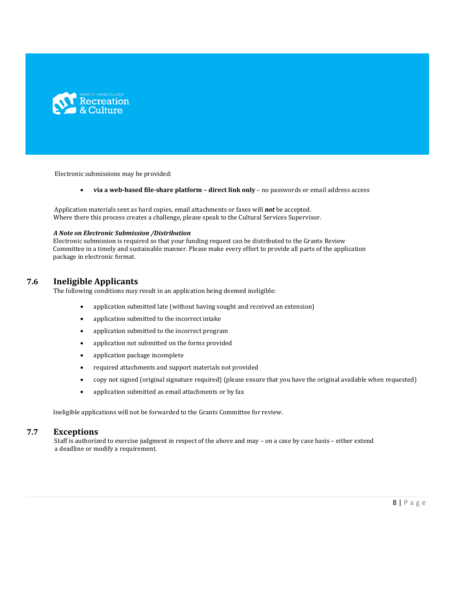

Electronic submissions may be provided:

**via a web-based file-share platform – direct link only** – no passwords or email address access

 Application materials sent as hard copies, email attachments or faxes will *not* be accepted. Where there this process creates a challenge, please speak to the Cultural Services Supervisor.

#### *A Note on Electronic Submission /Distribution*

 Electronic submission is required so that your funding request can be distributed to the Grants Review Committee in a timely and sustainable manner. Please make every effort to provide all parts of the application package in electronic format.

#### **7.6 Ineligible Applicants**

The following conditions may result in an application being deemed ineligible:

- application submitted late (without having sought and received an extension)
- application submitted to the incorrect intake
- application submitted to the incorrect program
- application not submitted on the forms provided
- application package incomplete
- required attachments and support materials not provided
- copy not signed (original signature required) (please ensure that you have the original available when requested)
- application submitted as email attachments or by fax

Ineligible applications will not be forwarded to the Grants Committee for review.

#### **7.7 Exceptions**

Staff is authorized to exercise judgment in respect of the above and may - on a case by case basis - either extend a deadline or modify a requirement.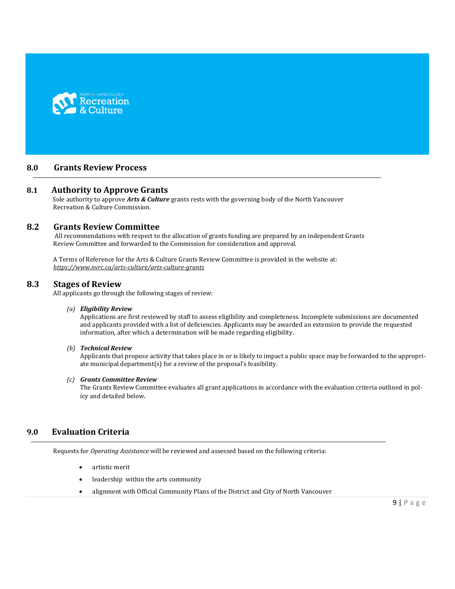

# **8.0 Grants Review Process**

#### **8.1 Authority to Approve Grants**

 Sole authority to approve *Arts & Culture* grants rests with the governing body of the North Vancouver Recreation & Culture Commission.

## **8.2 Grants Review Committee**

 All recommendations with respect to the allocation of grants funding are prepared by an independent Grants Review Committee and forwarded to the Commission for consideration and approval.

 A Terms of Reference for the Arts & Culture Grants Review Committee is provided in the website at:  *<https://www.nvrc.ca/arts-culture/arts-culture-grants>*

#### **8.3 Stages of Review**

All applicants go through the following stages of review:

#### *(a) Eligibility Review*

Applications are first reviewed by staff to assess eligibility and completeness. Incomplete submissions are documented and applicants provided with a list of deficiencies. Applicants may be awarded an extension to provide the requested information, after which a determination will be made regarding eligibility.

#### *(b) Technical Review*

Applicants that propose activity that takes place in or is likely to impact a public space may be forwarded to the appropriate municipal department(s) for a review of the proposal's feasibility.

#### *(c) Grants Committee Review*

The Grants Review Committee evaluates all grant applications in accordance with the evaluation criteria outlined in policy and detailed below.

# **9.0 Evaluation Criteria**

Requests for *Operating Assistance* will be reviewed and assessed based on the following criteria:

- artistic merit
- leadership within the arts community
- alignment with Official Community Plans of the District and City of North Vancouver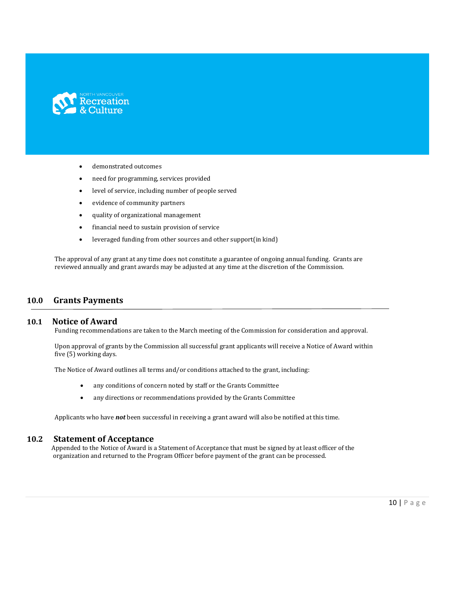

- demonstrated outcomes
- need for programming, services provided
- level of service, including number of people served
- evidence of community partners
- quality of organizational management
- financial need to sustain provision of service
- leveraged funding from other sources and other support(in kind)

 The approval of any grant at any time does not constitute a guarantee of ongoing annual funding. Grants are reviewed annually and grant awards may be adjusted at any time at the discretion of the Commission.

#### **10.0 Grants Payments**

#### **10.1 Notice of Award**

Funding recommendations are taken to the March meeting of the Commission for consideration and approval.

 Upon approval of grants by the Commission all successful grant applicants will receive a Notice of Award within five (5) working days.

The Notice of Award outlines all terms and/or conditions attached to the grant, including:

- any conditions of concern noted by staff or the Grants Committee
- any directions or recommendations provided by the Grants Committee

Applicants who have *not* been successful in receiving a grant award will also be notified at this time.

#### **10.2 Statement of Acceptance**

Appended to the Notice of Award is a Statement of Acceptance that must be signed by at least officer of the organization and returned to the Program Officer before payment of the grant can be processed.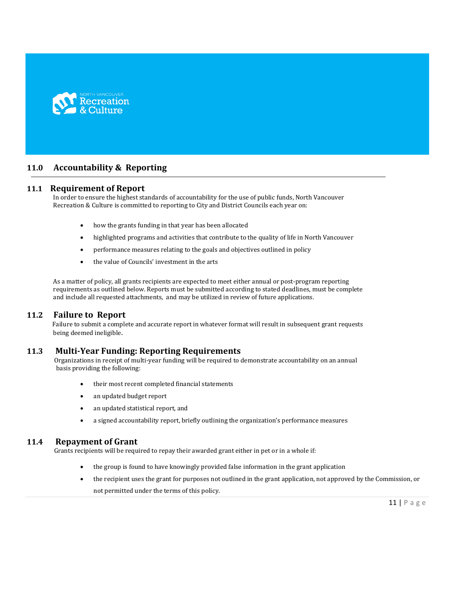

# **11.0 Accountability & Reporting**

#### **11.1 Requirement of Report**

 In order to ensure the highest standards of accountability for the use of public funds, North Vancouver Recreation & Culture is committed to reporting to City and District Councils each year on:

- how the grants funding in that year has been allocated
- highlighted programs and activities that contribute to the quality of life in North Vancouver
- performance measures relating to the goals and objectives outlined in policy
- the value of Councils' investment in the arts

 As a matter of policy, all grants recipients are expected to meet either annual or post-program reporting requirements as outlined below. Reports must be submitted according to stated deadlines, must be complete and include all requested attachments, and may be utilized in review of future applications.

#### **11.2 Failure to Report**

 Failure to submit a complete and accurate report in whatever format will result in subsequent grant requests being deemed ineligible.

#### **11.3 Multi-Year Funding: Reporting Requirements**

 Organizations in receipt of multi-year funding will be required to demonstrate accountability on an annual basis providing the following:

- their most recent completed financial statements
- an updated budget report
- an updated statistical report, and
- a signed accountability report, briefly outlining the organization's performance measures

#### **11.4 Repayment of Grant**

Grants recipients will be required to repay their awarded grant either in pet or in a whole if:

- the group is found to have knowingly provided false information in the grant application
- the recipient uses the grant for purposes not outlined in the grant application, not approved by the Commission, or not permitted under the terms of this policy.